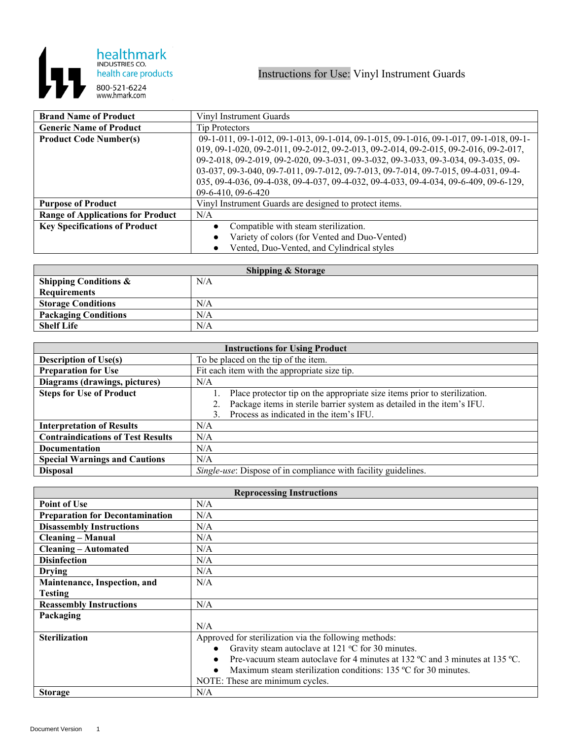

| <b>Brand Name of Product</b>             | Vinyl Instrument Guards                                                               |
|------------------------------------------|---------------------------------------------------------------------------------------|
| <b>Generic Name of Product</b>           | <b>Tip Protectors</b>                                                                 |
| <b>Product Code Number(s)</b>            | 09-1-011, 09-1-012, 09-1-013, 09-1-014, 09-1-015, 09-1-016, 09-1-017, 09-1-018, 09-1- |
|                                          | 019, 09-1-020, 09-2-011, 09-2-012, 09-2-013, 09-2-014, 09-2-015, 09-2-016, 09-2-017,  |
|                                          | 09-2-018, 09-2-019, 09-2-020, 09-3-031, 09-3-032, 09-3-033, 09-3-034, 09-3-035, 09-   |
|                                          | 03-037, 09-3-040, 09-7-011, 09-7-012, 09-7-013, 09-7-014, 09-7-015, 09-4-031, 09-4-   |
|                                          | 035, 09-4-036, 09-4-038, 09-4-037, 09-4-032, 09-4-033, 09-4-034, 09-6-409, 09-6-129,  |
|                                          | $09-6-410, 09-6-420$                                                                  |
| <b>Purpose of Product</b>                | Vinyl Instrument Guards are designed to protect items.                                |
| <b>Range of Applications for Product</b> | N/A                                                                                   |
| <b>Key Specifications of Product</b>     | Compatible with steam sterilization.                                                  |
|                                          | Variety of colors (for Vented and Duo-Vented)                                         |
|                                          | Vented, Duo-Vented, and Cylindrical styles                                            |

| <b>Shipping &amp; Storage</b>    |     |  |
|----------------------------------|-----|--|
| <b>Shipping Conditions &amp;</b> | N/A |  |
| <b>Requirements</b>              |     |  |
| <b>Storage Conditions</b>        | N/A |  |
| <b>Packaging Conditions</b>      | N/A |  |
| <b>Shelf Life</b>                | N/A |  |

| <b>Instructions for Using Product</b>    |                                                                           |
|------------------------------------------|---------------------------------------------------------------------------|
| <b>Description of Use(s)</b>             | To be placed on the tip of the item.                                      |
| <b>Preparation for Use</b>               | Fit each item with the appropriate size tip.                              |
| Diagrams (drawings, pictures)            | N/A                                                                       |
| <b>Steps for Use of Product</b>          | Place protector tip on the appropriate size items prior to sterilization. |
|                                          | Package items in sterile barrier system as detailed in the item's IFU.    |
|                                          | Process as indicated in the item's IFU.                                   |
| <b>Interpretation of Results</b>         | N/A                                                                       |
| <b>Contraindications of Test Results</b> | N/A                                                                       |
| Documentation                            | N/A                                                                       |
| <b>Special Warnings and Cautions</b>     | N/A                                                                       |
| <b>Disposal</b>                          | <i>Single-use:</i> Dispose of in compliance with facility guidelines.     |

| <b>Reprocessing Instructions</b>       |                                                                             |
|----------------------------------------|-----------------------------------------------------------------------------|
| <b>Point of Use</b>                    | N/A                                                                         |
| <b>Preparation for Decontamination</b> | N/A                                                                         |
| <b>Disassembly Instructions</b>        | N/A                                                                         |
| <b>Cleaning – Manual</b>               | N/A                                                                         |
| <b>Cleaning – Automated</b>            | N/A                                                                         |
| <b>Disinfection</b>                    | N/A                                                                         |
| <b>Drying</b>                          | N/A                                                                         |
| Maintenance, Inspection, and           | N/A                                                                         |
| <b>Testing</b>                         |                                                                             |
| <b>Reassembly Instructions</b>         | N/A                                                                         |
| Packaging                              |                                                                             |
|                                        | N/A                                                                         |
| <b>Sterilization</b>                   | Approved for sterilization via the following methods:                       |
|                                        | Gravity steam autoclave at 121 $\degree$ C for 30 minutes.                  |
|                                        | Pre-vacuum steam autoclave for 4 minutes at 132 °C and 3 minutes at 135 °C. |
|                                        | Maximum steam sterilization conditions: 135 °C for 30 minutes.              |
|                                        | NOTE: These are minimum cycles.                                             |
| <b>Storage</b>                         | N/A                                                                         |